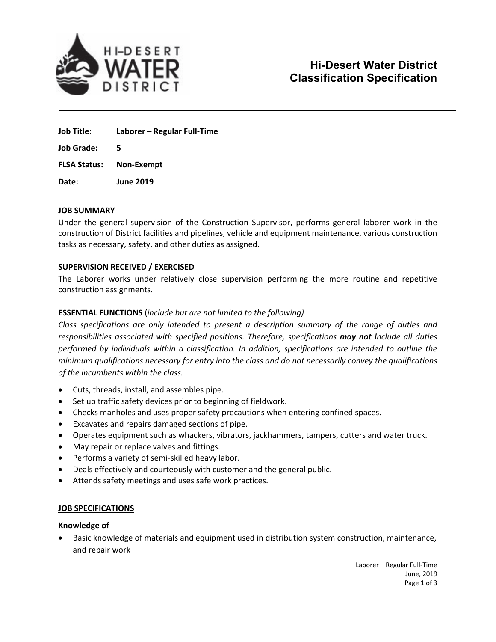

**Job Title: Laborer – Regular Full‐Time**

**Job Grade: 5**

**FLSA Status: Non‐Exempt**

**Date: June 2019**

## **JOB SUMMARY**

Under the general supervision of the Construction Supervisor, performs general laborer work in the construction of District facilities and pipelines, vehicle and equipment maintenance, various construction tasks as necessary, safety, and other duties as assigned.

## **SUPERVISION RECEIVED / EXERCISED**

The Laborer works under relatively close supervision performing the more routine and repetitive construction assignments.

# **ESSENTIAL FUNCTIONS** (*include but are not limited to the following)*

*Class specifications are only intended to present a description summary of the range of duties and responsibilities associated with specified positions. Therefore, specifications may not include all duties performed by individuals within a classification. In addition, specifications are intended to outline the minimum qualifications necessary for entry into the class and do not necessarily convey the qualifications of the incumbents within the class.*

- Cuts, threads, install, and assembles pipe.
- Set up traffic safety devices prior to beginning of fieldwork.
- Checks manholes and uses proper safety precautions when entering confined spaces.
- Excavates and repairs damaged sections of pipe.
- Operates equipment such as whackers, vibrators, jackhammers, tampers, cutters and water truck.
- May repair or replace valves and fittings.
- Performs a variety of semi-skilled heavy labor.
- Deals effectively and courteously with customer and the general public.
- Attends safety meetings and uses safe work practices.

## **JOB SPECIFICATIONS**

#### **Knowledge of**

 Basic knowledge of materials and equipment used in distribution system construction, maintenance, and repair work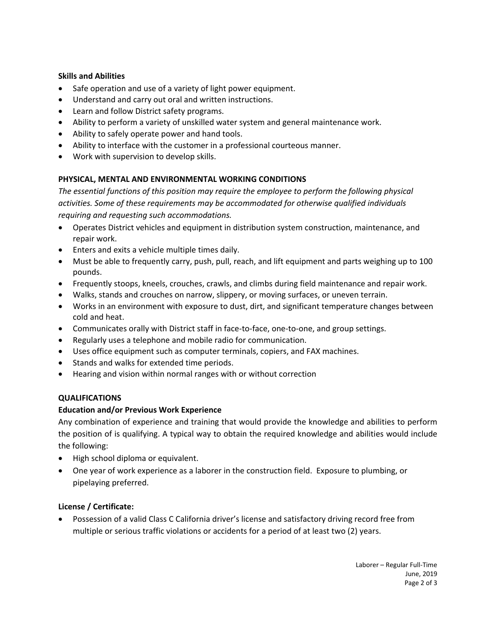## **Skills and Abilities**

- Safe operation and use of a variety of light power equipment.
- Understand and carry out oral and written instructions.
- Learn and follow District safety programs.
- Ability to perform a variety of unskilled water system and general maintenance work.
- Ability to safely operate power and hand tools.
- Ability to interface with the customer in a professional courteous manner.
- Work with supervision to develop skills.

# **PHYSICAL, MENTAL AND ENVIRONMENTAL WORKING CONDITIONS**

*The essential functions of this position may require the employee to perform the following physical activities. Some of these requirements may be accommodated for otherwise qualified individuals requiring and requesting such accommodations.*

- Operates District vehicles and equipment in distribution system construction, maintenance, and repair work.
- Enters and exits a vehicle multiple times daily.
- Must be able to frequently carry, push, pull, reach, and lift equipment and parts weighing up to 100 pounds.
- Frequently stoops, kneels, crouches, crawls, and climbs during field maintenance and repair work.
- Walks, stands and crouches on narrow, slippery, or moving surfaces, or uneven terrain.
- Works in an environment with exposure to dust, dirt, and significant temperature changes between cold and heat.
- Communicates orally with District staff in face-to-face, one-to-one, and group settings.
- Regularly uses a telephone and mobile radio for communication.
- Uses office equipment such as computer terminals, copiers, and FAX machines.
- Stands and walks for extended time periods.
- Hearing and vision within normal ranges with or without correction

# **QUALIFICATIONS**

# **Education and/or Previous Work Experience**

Any combination of experience and training that would provide the knowledge and abilities to perform the position of is qualifying. A typical way to obtain the required knowledge and abilities would include the following:

- High school diploma or equivalent.
- One year of work experience as a laborer in the construction field. Exposure to plumbing, or pipelaying preferred.

# **License / Certificate:**

 Possession of a valid Class C California driver's license and satisfactory driving record free from multiple or serious traffic violations or accidents for a period of at least two (2) years.